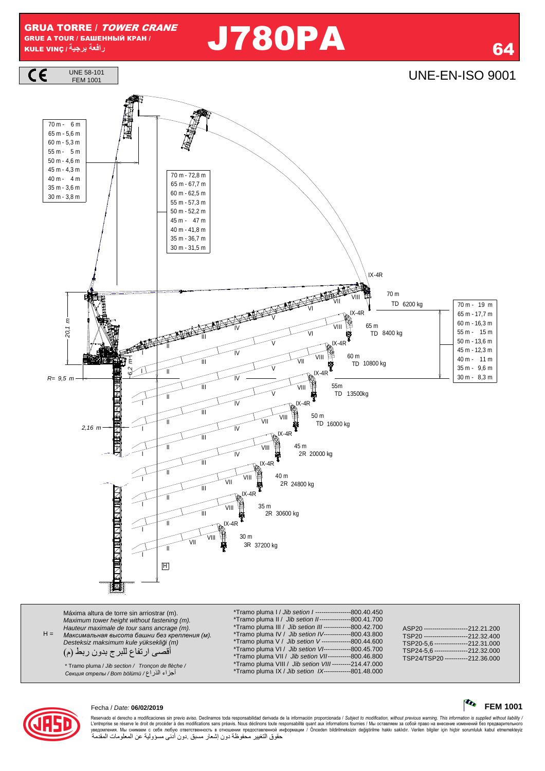# **را** J780PA <sup>64</sup>



 $H =$ Máxima altura de torre sin arriostrar (m). Maximum tower height without fastening (m). Hauteur maximale de tour sans ancrage (m). *Максимальная высота башни без крепления* (*м*). Desteksiz maksimum kule yüksekli*ğ*i (m) أقصـي ارتفاع للبرج بدون ربط (م) \*Tramo pluma I / *Jib setion I -----------------*800.40.450<br>\*Tramo pluma II / *Jib setion II---------------*800.41.700 \*Tramo pluma II / Jib setion II ---------------800.41.700 \*Tramo pluma III / Jib setion III -------------800.42.700 \*Tramo pluma IV / Jib setion IV-------------800.43.800 \*Tramo pluma V / Jib setion V --------------800.44.600 \*Tramo pluma VI / Jib setion VI-------------800.45.700 \*Tramo pluma VII / Jib setion VII -----------800.46.800 \*Tramo pluma VIII / Jib setion VIII ---------214.47.000 \*Tramo pluma IX / Jib setion IX-------------801.48.000 ASP20 ---------------------212.21.200<br>TSP20 ------------------------212.32.400  $-212.32.400$ TSP20-5,6 -----------------212.31.000<br>TSP24-5.6 ----------------212.32.000 512.01.000<br>212.32.000 --<br>212.36.000 TSP24/TSP20 --\* Tramo pluma / Jib section / Tronçon de flèche / أ34اء ا1راع / bölümü Bom / *стрелы Секция*



Reservado el derecho a modificaciones sin previo aviso. Declinamos toda responsabilidad derivada de la información proporcionada / *Subject to modification, without previous waming. This information is supplied without li* حقوق التغيير محفوظة دون إشعار مسبق دون أدنى مسؤولية عن المعلومات المقدمة

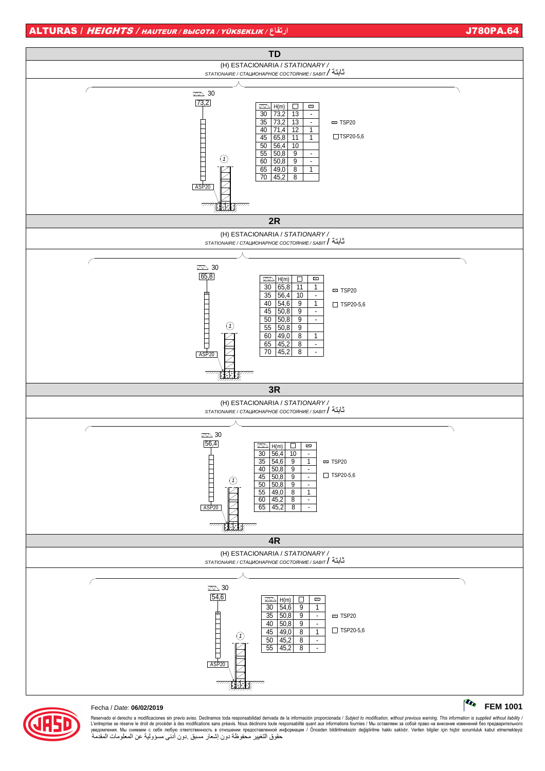

#### Fecha / Date: 06/02/2019

Reservado el derecho a modificaciones sin previo aviso. Declinamos toda responsabilidad derivada de la información proporcionada / Subject to modification, without previous warning. This information is supplied without li حقوق التغيير مُحفوظةً دون إشعار مسبقٌ دون أدُني مسؤولية عن المعلومات المقدمةُ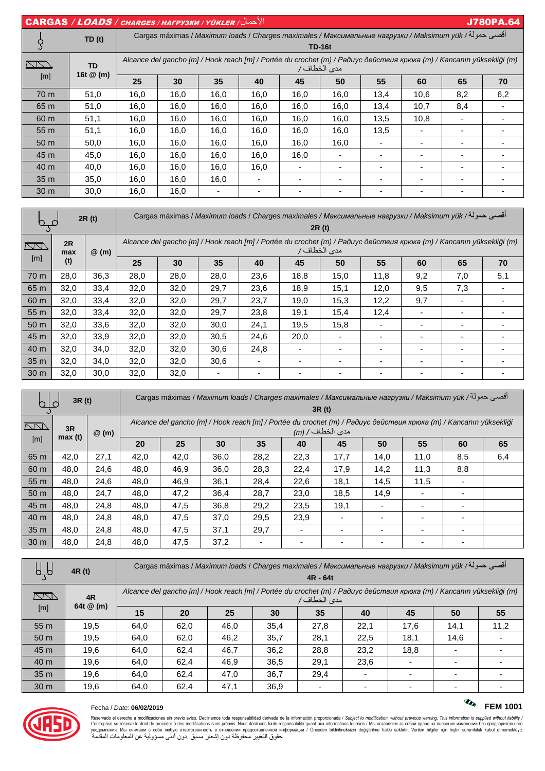| $  \textbf{CARGAS} / \textit{LOADS} / \textit{CHARGES} / \textit{HATPYSKM} / \textit{YÜKLER} /  \textit{VCHARGES} /  \textit{VCHARGES} /  \textit{VCHARGES} /  \textit{VCHARGES} /  \textit{VCHARGES} /  \textit{VCHARGES} /  \textit{VCHARGES} /  \textit{VCHARGES} /  \textit{VCHARGES} /  \textit{VCHARGES} /  \textit{VCHARGES} /  \textit{VCHARGES} /  \textit{VCHARGES} /  \textit{VCHARGES} /  \textit{VCHARGES} /  \textit{VCHAR$ |                          |                                                                                                                                      |      |      |      |                |               |      | <b>J780PA.64</b> |     |     |  |
|-------------------------------------------------------------------------------------------------------------------------------------------------------------------------------------------------------------------------------------------------------------------------------------------------------------------------------------------------------------------------------------------------------------------------------------------|--------------------------|--------------------------------------------------------------------------------------------------------------------------------------|------|------|------|----------------|---------------|------|------------------|-----|-----|--|
| TD(t)<br>S                                                                                                                                                                                                                                                                                                                                                                                                                                |                          | أقصى حمولة/ Cargas máximas / Maximum loads / Charges maximales / Максимальные нагрузки / Maksimum yük                                |      |      |      |                |               |      |                  |     |     |  |
|                                                                                                                                                                                                                                                                                                                                                                                                                                           |                          |                                                                                                                                      |      |      |      |                | <b>TD-16t</b> |      |                  |     |     |  |
| $\bigwedge\bigwedge\!\!\!\bigwedge$<br>[m]                                                                                                                                                                                                                                                                                                                                                                                                | <b>TD</b><br>16t $@$ (m) | Alcance del gancho [m] / Hook reach [m] / Portée du crochet (m) / Paðuyc действия крюка (m) / Kancanın yüksekliği (m)<br>مدى الخطاف/ |      |      |      |                |               |      |                  |     |     |  |
|                                                                                                                                                                                                                                                                                                                                                                                                                                           |                          | 25                                                                                                                                   | 30   | 35   | 40   | 45             | 50            | 55   | 60               | 65  | 70  |  |
| 70 m                                                                                                                                                                                                                                                                                                                                                                                                                                      | 51,0                     | 16,0                                                                                                                                 | 16,0 | 16,0 | 16,0 | 16,0           | 16,0          | 13,4 | 10,6             | 8,2 | 6,2 |  |
| 65 m                                                                                                                                                                                                                                                                                                                                                                                                                                      | 51,0                     | 16,0                                                                                                                                 | 16,0 | 16,0 | 16,0 | 16.0           | 16,0          | 13.4 | 10,7             | 8,4 |     |  |
| 60 <sub>m</sub>                                                                                                                                                                                                                                                                                                                                                                                                                           | 51,1                     | 16,0                                                                                                                                 | 16,0 | 16,0 | 16,0 | 16.0           | 16,0          | 13.5 | 10.8             |     |     |  |
| 55 m                                                                                                                                                                                                                                                                                                                                                                                                                                      | 51,1                     | 16,0                                                                                                                                 | 16,0 | 16,0 | 16,0 | 16,0           | 16,0          | 13,5 |                  |     |     |  |
| 50 <sub>m</sub>                                                                                                                                                                                                                                                                                                                                                                                                                           | 50,0                     | 16,0                                                                                                                                 | 16,0 | 16,0 | 16,0 | 16,0           | 16,0          |      |                  |     |     |  |
| 45 m                                                                                                                                                                                                                                                                                                                                                                                                                                      | 45,0                     | 16,0                                                                                                                                 | 16,0 | 16,0 | 16,0 | 16,0           | ۰             |      |                  |     |     |  |
| 40 m                                                                                                                                                                                                                                                                                                                                                                                                                                      | 40,0                     | 16,0                                                                                                                                 | 16,0 | 16,0 | 16,0 |                | ۰             |      |                  |     |     |  |
| 35 <sub>m</sub>                                                                                                                                                                                                                                                                                                                                                                                                                           | 35,0                     | 16,0                                                                                                                                 | 16,0 | 16,0 |      | $\blacksquare$ |               |      |                  |     |     |  |
| 30 <sub>m</sub>                                                                                                                                                                                                                                                                                                                                                                                                                           | 30,0                     | 16,0                                                                                                                                 | 16,0 |      |      |                |               |      |                  |     |     |  |

| 2R(t)           |           |         | أقصى حمولة/ Cargas máximas / Maximum loads / Charges maximales / Максимальные нагрузки / Maksimum yük                                         |      |                          |                          |                          |                          |                          |                          |     |           |  |  |
|-----------------|-----------|---------|-----------------------------------------------------------------------------------------------------------------------------------------------|------|--------------------------|--------------------------|--------------------------|--------------------------|--------------------------|--------------------------|-----|-----------|--|--|
| $\sum$          | 2R<br>max | $@$ (m) | 2R(t)<br>Alcance del gancho [m] / Hook reach [m] / Portée du crochet (m) / Paðuyc действия крюка (m) / Kancanın yüksekliği (m)<br>مدى الخطاف/ |      |                          |                          |                          |                          |                          |                          |     |           |  |  |
| [m]             | (t)       |         | 25                                                                                                                                            | 30   | 35                       | 40                       | 45                       | 50                       | 55                       | 60                       | 65  | 70<br>5,1 |  |  |
| 70 m            | 28,0      | 36,3    | 28,0                                                                                                                                          | 28,0 | 28,0                     | 23,6                     | 18,8                     | 15,0                     | 11,8                     | 9,2                      | 7,0 |           |  |  |
| 65 m            | 32,0      | 33,4    | 32,0                                                                                                                                          | 32,0 | 29,7                     | 23,6                     | 18,9                     | 15,1                     | 12,0                     | 9,5                      | 7,3 |           |  |  |
| 60 m            | 32,0      | 33,4    | 32,0                                                                                                                                          | 32,0 | 29,7                     | 23,7                     | 19,0                     | 15,3                     | 12,2                     | 9,7                      |     |           |  |  |
| 55 m            | 32,0      | 33,4    | 32,0                                                                                                                                          | 32,0 | 29,7                     | 23,8                     | 19,1                     | 15,4                     | 12,4                     |                          |     |           |  |  |
| 50 <sub>m</sub> | 32,0      | 33,6    | 32,0                                                                                                                                          | 32,0 | 30,0                     | 24,1                     | 19,5                     | 15,8                     |                          |                          |     |           |  |  |
| 45 m            | 32,0      | 33,9    | 32,0                                                                                                                                          | 32,0 | 30,5                     | 24,6                     | 20,0                     |                          |                          |                          |     |           |  |  |
| 40 m            | 32,0      | 34,0    | 32,0                                                                                                                                          | 32,0 | 30,6                     | 24,8                     | -                        |                          | $\overline{\phantom{0}}$ | $\overline{\phantom{0}}$ |     |           |  |  |
| 35 <sub>m</sub> | 32,0      | 34,0    | 32,0                                                                                                                                          | 32,0 | 30,6                     | ٠                        | ٠                        | $\overline{\phantom{0}}$ | $\overline{\phantom{a}}$ | $\overline{\phantom{a}}$ |     |           |  |  |
| 30 <sub>m</sub> | 32,0      | 30,0    | 32,0                                                                                                                                          | 32,0 | $\overline{\phantom{0}}$ | $\overline{\phantom{0}}$ | $\overline{\phantom{0}}$ | $\overline{\phantom{0}}$ | $\overline{\phantom{a}}$ | $\overline{\phantom{a}}$ |     |           |  |  |

| 3R (t)<br>$40^{\circ}$        |      | أقصى حمولة/ Cargas máximas / Maximum loads / Charges maximales / Максимальные нагрузки / Maksimum yük<br>3R (t) |                                                                                                                                      |      |      |                          |                          |                          |                          |                          |     |     |
|-------------------------------|------|-----------------------------------------------------------------------------------------------------------------|--------------------------------------------------------------------------------------------------------------------------------------|------|------|--------------------------|--------------------------|--------------------------|--------------------------|--------------------------|-----|-----|
| $\sum$<br>3R<br>max(t)<br>[m] |      | $@$ (m)                                                                                                         | Alcance del gancho [m] / Hook reach [m] / Portée du crochet (m) / Радиус действия крюка (m) / Kancanın yüksekliği<br>مدى الخطاف/ (m) |      |      |                          |                          |                          |                          |                          |     |     |
|                               |      |                                                                                                                 | 20                                                                                                                                   | 25   | 30   | 35                       | 40                       | 45                       | 50                       | 55                       | 60  | 65  |
| 65 m                          | 42,0 | 27,1                                                                                                            | 42,0                                                                                                                                 | 42,0 | 36.0 | 28.2                     | 22,3                     | 17,7                     | 14,0                     | 11,0                     | 8,5 | 6,4 |
| 60 m                          | 48,0 | 24,6                                                                                                            | 48,0                                                                                                                                 | 46.9 | 36.0 | 28,3                     | 22,4                     | 17,9                     | 14,2                     | 11,3                     | 8,8 |     |
| 55 m                          | 48,0 | 24,6                                                                                                            | 48.0                                                                                                                                 | 46.9 | 36,1 | 28.4                     | 22,6                     | 18,1                     | 14.5                     | 11,5                     |     |     |
| 50 <sub>m</sub>               | 48,0 | 24,7                                                                                                            | 48.0                                                                                                                                 | 47.2 | 36.4 | 28,7                     | 23.0                     | 18.5                     | 14,9                     |                          |     |     |
| 45 m                          | 48,0 | 24,8                                                                                                            | 48.0                                                                                                                                 | 47,5 | 36,8 | 29,2                     | 23,5                     | 19,1                     |                          |                          |     |     |
| 40 m                          | 48,0 | 24,8                                                                                                            | 48,0                                                                                                                                 | 47,5 | 37,0 | 29,5                     | 23,9                     |                          |                          |                          |     |     |
| 35 <sub>m</sub>               | 48,0 | 24,8                                                                                                            | 48.0                                                                                                                                 | 47,5 | 37,1 | 29,7                     | $\overline{\phantom{0}}$ | $\overline{\phantom{0}}$ | $\overline{\phantom{0}}$ |                          |     |     |
| 30 <sub>m</sub>               | 48,0 | 24,8                                                                                                            | 48,0                                                                                                                                 | 47,5 | 37,2 | $\overline{\phantom{a}}$ | $\overline{a}$           | $\overline{\phantom{0}}$ |                          | $\overline{\phantom{0}}$ |     |     |

| ÄЯ              | 4R (t)            |                                                                                                                                      | أقصى حمولة/ Cargas máximas / Maximum loads / Charges maximales / Максимальные нагрузки / Maksimum yük<br>$4R - 64t$ |      |      |      |                          |      |      |      |  |  |  |
|-----------------|-------------------|--------------------------------------------------------------------------------------------------------------------------------------|---------------------------------------------------------------------------------------------------------------------|------|------|------|--------------------------|------|------|------|--|--|--|
| $\Box\Box\Box$  | 4R<br>64t $@$ (m) | Alcance del gancho [m] / Hook reach [m] / Portée du crochet (m) / Радиус действия крюка (m) / Kancanın yüksekliği (m)<br>مدى الخطاف/ |                                                                                                                     |      |      |      |                          |      |      |      |  |  |  |
| [m]             |                   | 15                                                                                                                                   | 20                                                                                                                  | 25   | 30   | 35   | 40                       | 45   | 50   | 55   |  |  |  |
| 55 m            | 19,5              | 64.0                                                                                                                                 | 62,0                                                                                                                | 46,0 | 35,4 | 27,8 | 22.1                     | 17,6 | 14,1 | 11,2 |  |  |  |
| 50 <sub>m</sub> | 19.5              | 64.0                                                                                                                                 | 62.0                                                                                                                | 46.2 | 35.7 | 28.1 | 22.5                     | 18.1 | 14.6 |      |  |  |  |
| 45 m            | 19,6              | 64,0                                                                                                                                 | 62,4                                                                                                                | 46,7 | 36,2 | 28,8 | 23,2                     | 18,8 |      |      |  |  |  |
| 40 m            | 19,6              | 64,0                                                                                                                                 | 62,4                                                                                                                | 46,9 | 36,5 | 29,1 | 23,6                     |      |      |      |  |  |  |
| 35 <sub>m</sub> | 19,6              | 64,0                                                                                                                                 | 62,4                                                                                                                | 47,0 | 36,7 | 29,4 | $\overline{\phantom{0}}$ |      |      |      |  |  |  |
| 30 <sub>m</sub> | 19.6              | 64,0                                                                                                                                 | 62.4                                                                                                                | 47,1 | 36,9 |      | -                        |      |      |      |  |  |  |



### Fecha / Date: 06/02/2019

# $\begin{bmatrix} \mathbf{C_0} & FEM 1001 \end{bmatrix}$

Reservado el derecho a modificaciones sin previo aviso. Declinamos toda responsabilidad derivada de la información proporcionada / Subject to modification, without previous warning. This information is supplied without l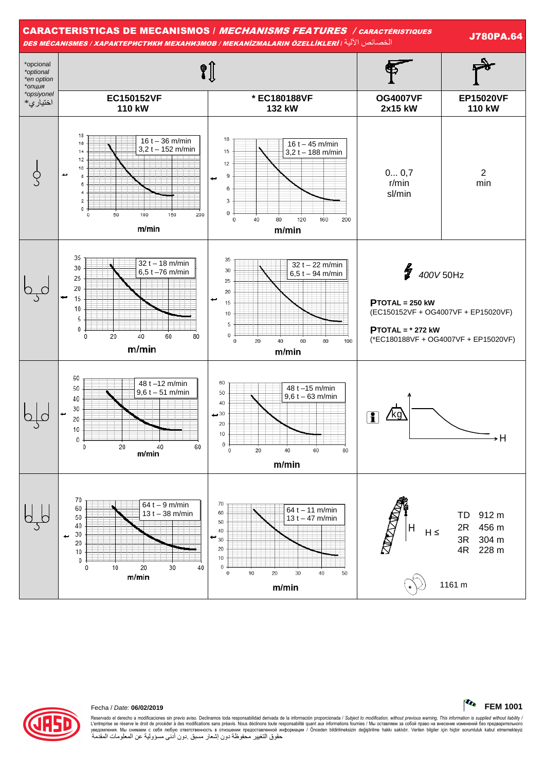



#### Fecha / Date: 06/02/2019

Reservado el derecho a modificaciones sin previo aviso. Declinamos toda responsabilidad derivada de la información proporcionada / Subject to modification, without previous warning. This information is supplied without li حقوق التغيير مُحفوظةً دون إشعار مسبقٌ دون أدُني مسؤولية عن المعلومات المقدمةُ

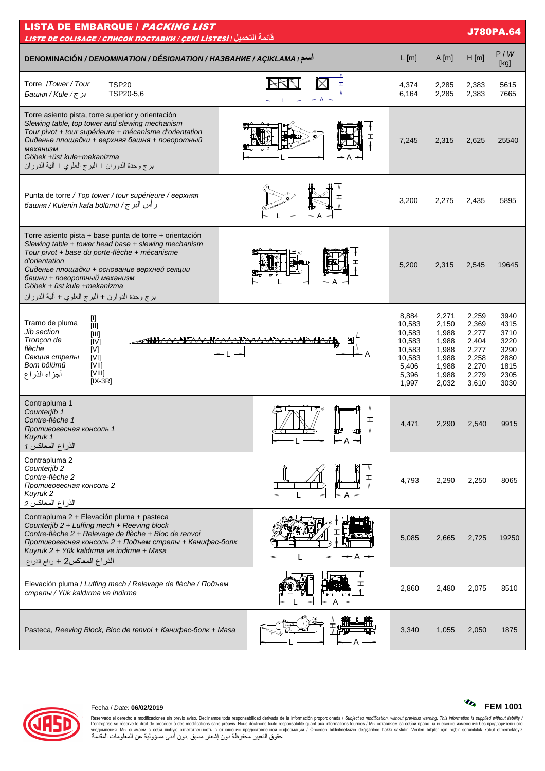| <b>LISTA DE EMBARQUE / PACKING LIST</b><br><b>J780PA.64</b><br>قائمة التحميل ( LISTE DE COLISAGE / СПИСОК ПОСТАВКИ / <u>ÇEKİ LISTESİ</u>                                                                                                                                                                                                                                                                                                                                                                                                                                                                                                                                                                                                                                                                                                                                                                                                                                 |     |                                                                                    |                                                                               |                                                                               |                                                                      |  |  |  |  |
|--------------------------------------------------------------------------------------------------------------------------------------------------------------------------------------------------------------------------------------------------------------------------------------------------------------------------------------------------------------------------------------------------------------------------------------------------------------------------------------------------------------------------------------------------------------------------------------------------------------------------------------------------------------------------------------------------------------------------------------------------------------------------------------------------------------------------------------------------------------------------------------------------------------------------------------------------------------------------|-----|------------------------------------------------------------------------------------|-------------------------------------------------------------------------------|-------------------------------------------------------------------------------|----------------------------------------------------------------------|--|--|--|--|
| اسم / DENOMINACIÓN / DENOMINATION / DÉSIGNATION / HA3BAHUE / AÇIKLAMA                                                                                                                                                                                                                                                                                                                                                                                                                                                                                                                                                                                                                                                                                                                                                                                                                                                                                                    |     | $L$ [m]                                                                            | A[m]                                                                          | H[m]                                                                          | P/W<br>[kg]                                                          |  |  |  |  |
| Torre /Tower/Tour<br><b>TSP20</b><br>TSP20-5,6<br>برج/ Башня / Kule                                                                                                                                                                                                                                                                                                                                                                                                                                                                                                                                                                                                                                                                                                                                                                                                                                                                                                      |     | 4,374<br>6,164                                                                     | 2,285<br>2,285                                                                | 2,383<br>2,383                                                                | 5615<br>7665                                                         |  |  |  |  |
| Torre asiento pista, torre superior y orientación<br>Slewing table, top tower and slewing mechanism<br>Tour pivot + tour supérieure + mécanisme d'orientation<br>Сиденье площадки + верхняя башня + поворотный<br>механизм<br>Göbek +üst kule+mekanizma<br>برج وحدة الدوران + البرج العلوي + ألية الدوران                                                                                                                                                                                                                                                                                                                                                                                                                                                                                                                                                                                                                                                                |     | 7,245                                                                              | 2,315                                                                         | 2.625                                                                         | 25540                                                                |  |  |  |  |
| Punta de torre / Top tower / tour supérieure / верхняя<br>رأس البرج/ башня / Kulenin kafa bölümü                                                                                                                                                                                                                                                                                                                                                                                                                                                                                                                                                                                                                                                                                                                                                                                                                                                                         |     | 3,200                                                                              | 2,275                                                                         | 2,435                                                                         | 5895                                                                 |  |  |  |  |
| Torre asiento pista + base punta de torre + orientación<br>Slewing table + tower head base + slewing mechanism<br>Tour pivot + base du porte-flèche + mécanisme<br>d'orientation<br>Сиденье площадки + основание верхней секции<br>башни + поворотный механизм<br>Göbek + üst kule +mekanizma<br>برج وحدة الدوارن + البرج العلوي + ألية الدوران                                                                                                                                                                                                                                                                                                                                                                                                                                                                                                                                                                                                                          |     | 5,200                                                                              | 2,315                                                                         | 2,545                                                                         | 19645                                                                |  |  |  |  |
| $[] \centering \includegraphics[width=0.47\textwidth]{Figures/PD1.png} \caption{The 3D (black) model for the 3D (black) model. The 3D (black) model is shown in Fig.~\ref{fig:1}, (a) and (b) and (c) are shown in Fig.~\ref{fig:1}, (b) and (c) are shown in Fig.~\ref{fig:1}, (c) and (d) are shown in Fig.~\ref{fig:1}, (d) and (e) are shown in Fig.~\ref{fig:1}, (e) and (f) are shown in Fig.~\ref{fig:1}, (f) and (g) are shown in Fig.~\ref{fig:1}, (g) and (h) are shown in Fig.~\ref{fig:1}, (h) and (i) are shown$<br>Tramo de pluma<br>[III]<br>Jib section<br>[III]<br>Tronçon de<br>[IV]<br>flèche<br>[V]<br>Секция стрелы<br>[VI]<br>Bom bölümü<br><b>TVIII</b><br>$[VIII] \centering% \includegraphics[width=1.0\textwidth]{Figures/PD1.png} \caption{The 3D (top) and the 4D (bottom) of the 3D (bottom) and the 4D (bottom) of the 3D (bottom) of the 3D (bottom). The 4D (bottom) is the 3D (bottom).} \label{fig:TPD1}$<br>أجزاء الذراع<br>$[IX-3R]$ |     | 8,884<br>10,583<br>10,583<br>10,583<br>10,583<br>10,583<br>5,406<br>5,396<br>1,997 | 2,271<br>2,150<br>1,988<br>1,988<br>1,988<br>1,988<br>1,988<br>1,988<br>2,032 | 2,259<br>2,369<br>2,277<br>2,404<br>2,277<br>2,258<br>2,270<br>2,279<br>3,610 | 3940<br>4315<br>3710<br>3220<br>3290<br>2880<br>1815<br>2305<br>3030 |  |  |  |  |
| Contrapluma 1<br>Counterjib 1<br>Contre-flèche 1<br>Противовесная консоль 1<br>Kuyruk 1<br>الذراع المعاكس 1                                                                                                                                                                                                                                                                                                                                                                                                                                                                                                                                                                                                                                                                                                                                                                                                                                                              | ェ   | 4,471                                                                              | 2.290                                                                         | 2,540                                                                         | 9915                                                                 |  |  |  |  |
| Contrapluma 2<br>Counterjib 2<br>Contre-flèche 2<br>Противовесная консоль 2<br>Kuyruk 2<br>الذراع المعاكس 2                                                                                                                                                                                                                                                                                                                                                                                                                                                                                                                                                                                                                                                                                                                                                                                                                                                              |     | 4,793                                                                              | 2,290                                                                         | 2,250                                                                         | 8065                                                                 |  |  |  |  |
| Contrapluma 2 + Elevación pluma + pasteca<br>Counterjib 2 + Luffing mech + Reeving block<br>Contre-flèche 2 + Relevage de flèche + Bloc de renvoi<br>Противовесная консоль 2 + Подъем стрелы + Канифас-болк<br>Kuyruk 2 + Yük kaldırma ve indirme + Masa<br>الذراع المعاكس2 + رافع الذراع                                                                                                                                                                                                                                                                                                                                                                                                                                                                                                                                                                                                                                                                                |     | 5,085                                                                              | 2,665                                                                         | 2,725                                                                         | 19250                                                                |  |  |  |  |
| Elevación pluma / Luffing mech / Relevage de flèche / Подъем<br>стрелы / Yük kaldırma ve indirme                                                                                                                                                                                                                                                                                                                                                                                                                                                                                                                                                                                                                                                                                                                                                                                                                                                                         | ← A | 2,860                                                                              | 2,480                                                                         | 2,075                                                                         | 8510                                                                 |  |  |  |  |
| Pasteca, Reeving Block, Bloc de renvoi + Канифас-болк + Masa                                                                                                                                                                                                                                                                                                                                                                                                                                                                                                                                                                                                                                                                                                                                                                                                                                                                                                             |     | 3,340                                                                              | 1,055                                                                         | 2,050                                                                         | 1875                                                                 |  |  |  |  |



## Fecha / Date: **06/02/2019 FEM 1001**

Reservado el derecho a modificaciones sin previo aviso. Declinamos toda responsabilidad derivada de la información proporcionada / *Subject to modificalion, without previous waming. This information is supplied without l*